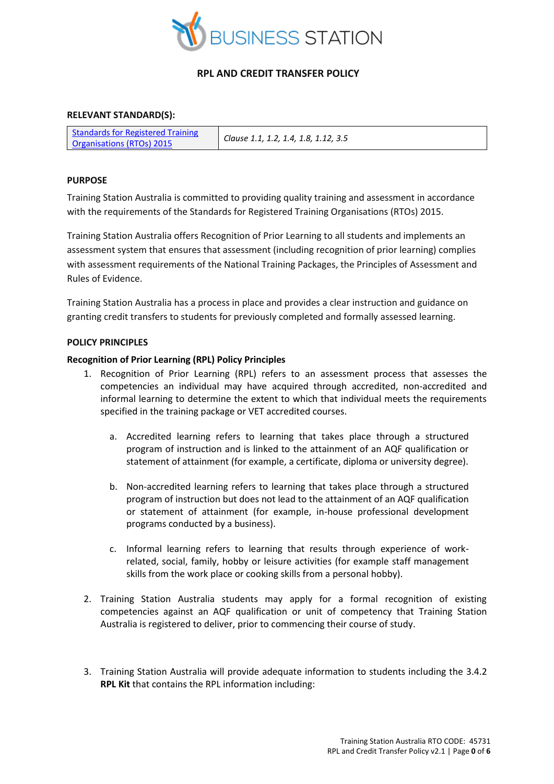

### **RELEVANT STANDARD(S):**

| Standards for Registered Training | Clause 1.1, 1.2, 1.4, 1.8, 1.12, 3.5 |
|-----------------------------------|--------------------------------------|
| <b>Organisations (RTOs) 2015</b>  |                                      |

### **PURPOSE**

Training Station Australia is committed to providing quality training and assessment in accordance with the requirements of the Standards for Registered Training Organisations (RTOs) 2015.

Training Station Australia offers Recognition of Prior Learning to all students and implements an assessment system that ensures that assessment (including recognition of prior learning) complies with assessment requirements of the National Training Packages, the Principles of Assessment and Rules of Evidence.

Training Station Australia has a process in place and provides a clear instruction and guidance on granting credit transfers to students for previously completed and formally assessed learning.

#### **POLICY PRINCIPLES**

#### **Recognition of Prior Learning (RPL) Policy Principles**

- 1. Recognition of Prior Learning (RPL) refers to an assessment process that assesses the competencies an individual may have acquired through accredited, non-accredited and informal learning to determine the extent to which that individual meets the requirements specified in the training package or VET accredited courses.
	- a. Accredited learning refers to learning that takes place through a structured program of instruction and is linked to the attainment of an AQF qualification or statement of attainment (for example, a certificate, diploma or university degree).
	- b. Non-accredited learning refers to learning that takes place through a structured program of instruction but does not lead to the attainment of an AQF qualification or statement of attainment (for example, in-house professional development programs conducted by a business).
	- c. Informal learning refers to learning that results through experience of workrelated, social, family, hobby or leisure activities (for example staff management skills from the work place or cooking skills from a personal hobby).
- 2. Training Station Australia students may apply for a formal recognition of existing competencies against an AQF qualification or unit of competency that Training Station Australia is registered to deliver, prior to commencing their course of study.
- 3. Training Station Australia will provide adequate information to students including the 3.4.2 **RPL Kit** that contains the RPL information including: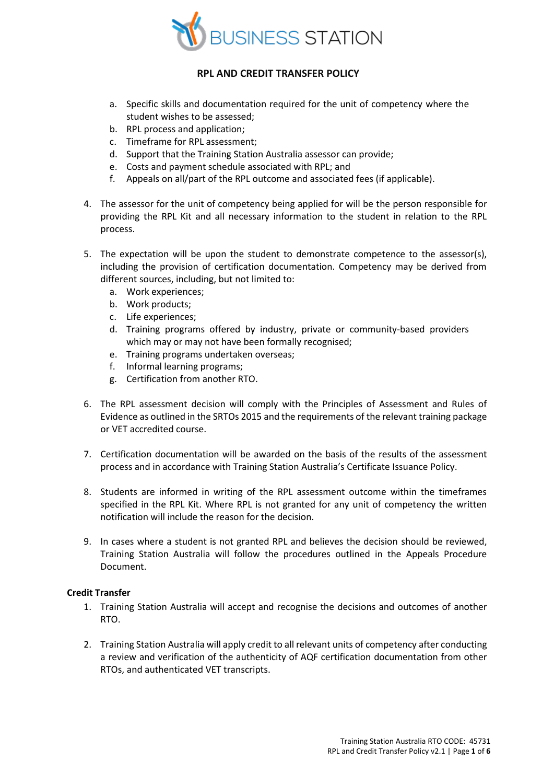

- a. Specific skills and documentation required for the unit of competency where the student wishes to be assessed;
- b. RPL process and application;
- c. Timeframe for RPL assessment;
- d. Support that the Training Station Australia assessor can provide;
- e. Costs and payment schedule associated with RPL; and
- f. Appeals on all/part of the RPL outcome and associated fees (if applicable).
- 4. The assessor for the unit of competency being applied for will be the person responsible for providing the RPL Kit and all necessary information to the student in relation to the RPL process.
- 5. The expectation will be upon the student to demonstrate competence to the assessor(s), including the provision of certification documentation. Competency may be derived from different sources, including, but not limited to:
	- a. Work experiences;
	- b. Work products;
	- c. Life experiences;
	- d. Training programs offered by industry, private or community-based providers which may or may not have been formally recognised;
	- e. Training programs undertaken overseas;
	- f. Informal learning programs;
	- g. Certification from another RTO.
- 6. The RPL assessment decision will comply with the Principles of Assessment and Rules of Evidence as outlined in the SRTOs 2015 and the requirements of the relevant training package or VET accredited course.
- 7. Certification documentation will be awarded on the basis of the results of the assessment process and in accordance with Training Station Australia's Certificate Issuance Policy.
- 8. Students are informed in writing of the RPL assessment outcome within the timeframes specified in the RPL Kit. Where RPL is not granted for any unit of competency the written notification will include the reason for the decision.
- 9. In cases where a student is not granted RPL and believes the decision should be reviewed, Training Station Australia will follow the procedures outlined in the Appeals Procedure Document.

### **Credit Transfer**

- 1. Training Station Australia will accept and recognise the decisions and outcomes of another RTO.
- 2. Training Station Australia will apply credit to all relevant units of competency after conducting a review and verification of the authenticity of AQF certification documentation from other RTOs, and authenticated VET transcripts.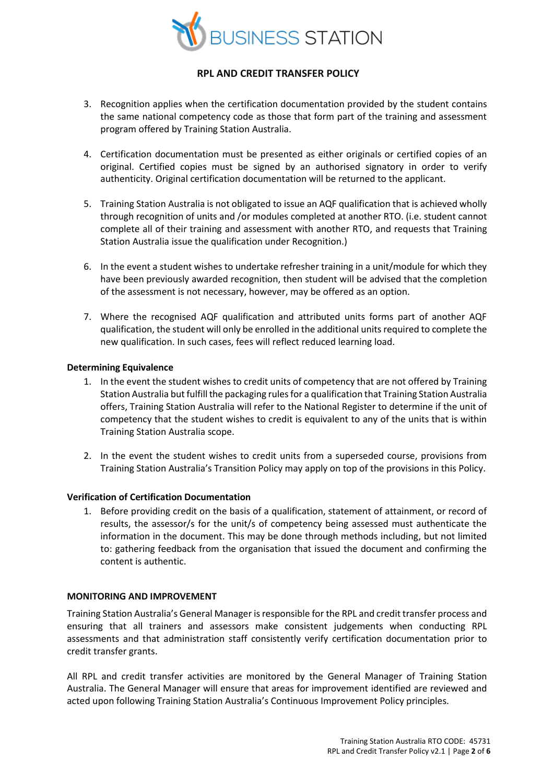

- 3. Recognition applies when the certification documentation provided by the student contains the same national competency code as those that form part of the training and assessment program offered by Training Station Australia.
- 4. Certification documentation must be presented as either originals or certified copies of an original. Certified copies must be signed by an authorised signatory in order to verify authenticity. Original certification documentation will be returned to the applicant.
- 5. Training Station Australia is not obligated to issue an AQF qualification that is achieved wholly through recognition of units and /or modules completed at another RTO. (i.e. student cannot complete all of their training and assessment with another RTO, and requests that Training Station Australia issue the qualification under Recognition.)
- 6. In the event a student wishes to undertake refresher training in a unit/module for which they have been previously awarded recognition, then student will be advised that the completion of the assessment is not necessary, however, may be offered as an option.
- 7. Where the recognised AQF qualification and attributed units forms part of another AQF qualification, the student will only be enrolled in the additional units required to complete the new qualification. In such cases, fees will reflect reduced learning load.

#### **Determining Equivalence**

- 1. In the event the student wishes to credit units of competency that are not offered by Training Station Australia but fulfill the packaging rules for a qualification that Training Station Australia offers, Training Station Australia will refer to the National Register to determine if the unit of competency that the student wishes to credit is equivalent to any of the units that is within Training Station Australia scope.
- 2. In the event the student wishes to credit units from a superseded course, provisions from Training Station Australia's Transition Policy may apply on top of the provisions in this Policy.

### **Verification of Certification Documentation**

1. Before providing credit on the basis of a qualification, statement of attainment, or record of results, the assessor/s for the unit/s of competency being assessed must authenticate the information in the document. This may be done through methods including, but not limited to: gathering feedback from the organisation that issued the document and confirming the content is authentic.

### **MONITORING AND IMPROVEMENT**

Training Station Australia's General Manager is responsible for the RPL and credit transfer process and ensuring that all trainers and assessors make consistent judgements when conducting RPL assessments and that administration staff consistently verify certification documentation prior to credit transfer grants.

All RPL and credit transfer activities are monitored by the General Manager of Training Station Australia. The General Manager will ensure that areas for improvement identified are reviewed and acted upon following Training Station Australia's Continuous Improvement Policy principles.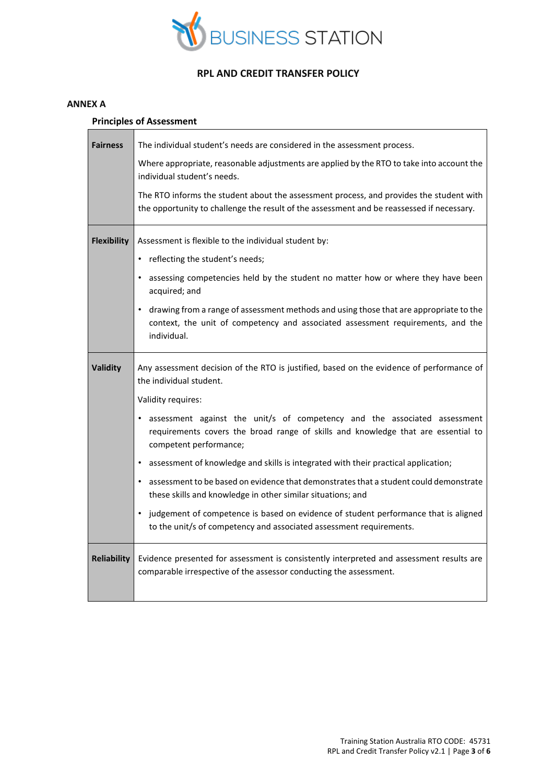

#### **ANNEX A**

### **Principles of Assessment**

| <b>Fairness</b>    | The individual student's needs are considered in the assessment process.                                                                                                                   |
|--------------------|--------------------------------------------------------------------------------------------------------------------------------------------------------------------------------------------|
|                    | Where appropriate, reasonable adjustments are applied by the RTO to take into account the<br>individual student's needs.                                                                   |
|                    | The RTO informs the student about the assessment process, and provides the student with<br>the opportunity to challenge the result of the assessment and be reassessed if necessary.       |
| <b>Flexibility</b> | Assessment is flexible to the individual student by:                                                                                                                                       |
|                    | • reflecting the student's needs;                                                                                                                                                          |
|                    | assessing competencies held by the student no matter how or where they have been<br>acquired; and                                                                                          |
|                    | • drawing from a range of assessment methods and using those that are appropriate to the<br>context, the unit of competency and associated assessment requirements, and the<br>individual. |
| <b>Validity</b>    | Any assessment decision of the RTO is justified, based on the evidence of performance of<br>the individual student.                                                                        |
|                    | Validity requires:                                                                                                                                                                         |
|                    | • assessment against the unit/s of competency and the associated assessment<br>requirements covers the broad range of skills and knowledge that are essential to<br>competent performance; |
|                    | • assessment of knowledge and skills is integrated with their practical application;                                                                                                       |
|                    | • assessment to be based on evidence that demonstrates that a student could demonstrate<br>these skills and knowledge in other similar situations; and                                     |
|                    | • judgement of competence is based on evidence of student performance that is aligned<br>to the unit/s of competency and associated assessment requirements.                               |
| <b>Reliability</b> | Evidence presented for assessment is consistently interpreted and assessment results are<br>comparable irrespective of the assessor conducting the assessment.                             |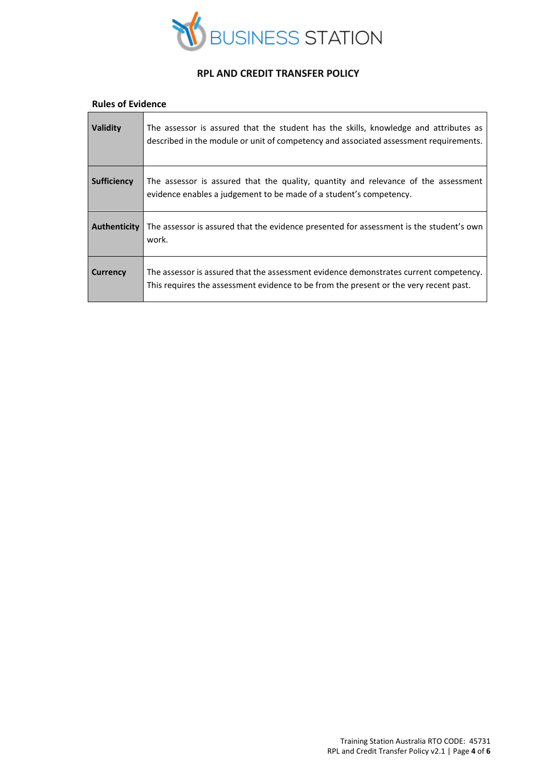

#### **Rules of Evidence**

| <b>Validity</b>    | The assessor is assured that the student has the skills, knowledge and attributes as<br>described in the module or unit of competency and associated assessment requirements.  |
|--------------------|--------------------------------------------------------------------------------------------------------------------------------------------------------------------------------|
| <b>Sufficiency</b> | The assessor is assured that the quality, quantity and relevance of the assessment<br>evidence enables a judgement to be made of a student's competency.                       |
| Authenticity       | The assessor is assured that the evidence presented for assessment is the student's own<br>work.                                                                               |
| Currency           | The assessor is assured that the assessment evidence demonstrates current competency.<br>This requires the assessment evidence to be from the present or the very recent past. |